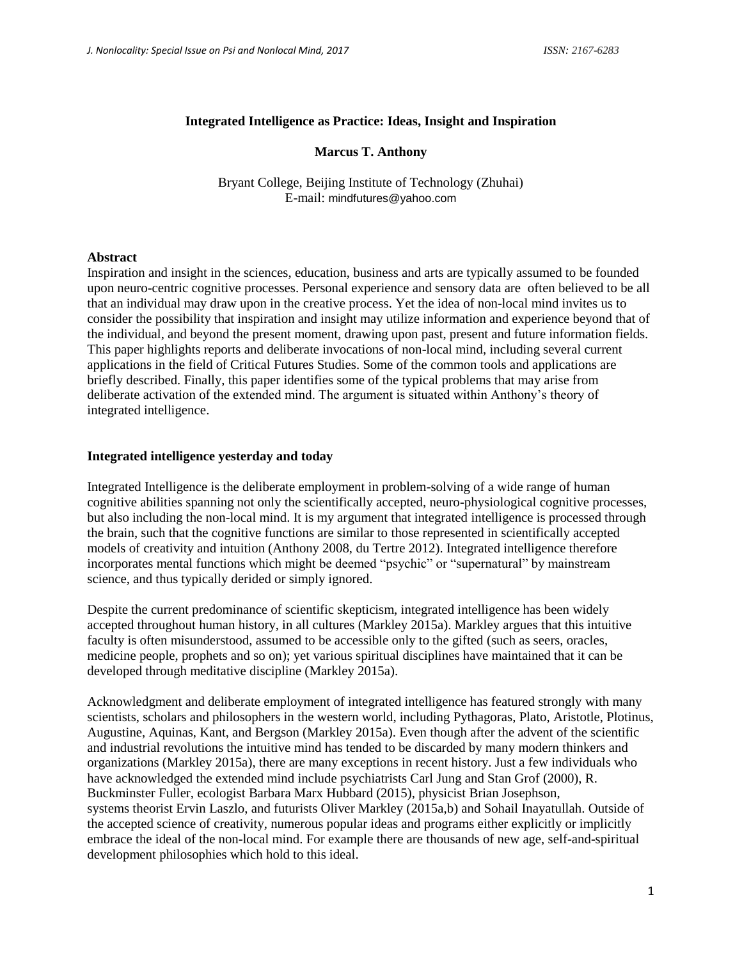#### **Integrated Intelligence as Practice: Ideas, Insight and Inspiration**

#### **Marcus T. Anthony**

Bryant College, Beijing Institute of Technology (Zhuhai) E-mail: mindfutures@yahoo.com

#### **Abstract**

Inspiration and insight in the sciences, education, business and arts are typically assumed to be founded upon neuro-centric cognitive processes. Personal experience and sensory data are often believed to be all that an individual may draw upon in the creative process. Yet the idea of non-local mind invites us to consider the possibility that inspiration and insight may utilize information and experience beyond that of the individual, and beyond the present moment, drawing upon past, present and future information fields. This paper highlights reports and deliberate invocations of non-local mind, including several current applications in the field of Critical Futures Studies. Some of the common tools and applications are briefly described. Finally, this paper identifies some of the typical problems that may arise from deliberate activation of the extended mind. The argument is situated within Anthony's theory of integrated intelligence.

### **Integrated intelligence yesterday and today**

Integrated Intelligence is the deliberate employment in problem-solving of a wide range of human cognitive abilities spanning not only the scientifically accepted, neuro-physiological cognitive processes, but also including the non-local mind. It is my argument that integrated intelligence is processed through the brain, such that the cognitive functions are similar to those represented in scientifically accepted models of creativity and intuition (Anthony 2008, du Tertre 2012). Integrated intelligence therefore incorporates mental functions which might be deemed "psychic" or "supernatural" by mainstream science, and thus typically derided or simply ignored.

Despite the current predominance of scientific skepticism, integrated intelligence has been widely accepted throughout human history, in all cultures (Markley 2015a). Markley argues that this intuitive faculty is often misunderstood, assumed to be accessible only to the gifted (such as seers, oracles, medicine people, prophets and so on); yet various spiritual disciplines have maintained that it can be developed through meditative discipline (Markley 2015a).

Acknowledgment and deliberate employment of integrated intelligence has featured strongly with many scientists, scholars and philosophers in the western world, including Pythagoras, Plato, Aristotle, Plotinus, Augustine, Aquinas, Kant, and Bergson (Markley 2015a). Even though after the advent of the scientific and industrial revolutions the intuitive mind has tended to be discarded by many modern thinkers and organizations (Markley 2015a), there are many exceptions in recent history. Just a few individuals who have acknowledged the extended mind include psychiatrists Carl Jung and Stan Grof (2000), R. Buckminster Fuller, ecologist Barbara Marx Hubbard (2015), physicist Brian Josephson, systems theorist Ervin Laszlo, and futurists Oliver Markley (2015a,b) and Sohail Inayatullah. Outside of the accepted science of creativity, numerous popular ideas and programs either explicitly or implicitly embrace the ideal of the non-local mind. For example there are thousands of new age, self-and-spiritual development philosophies which hold to this ideal.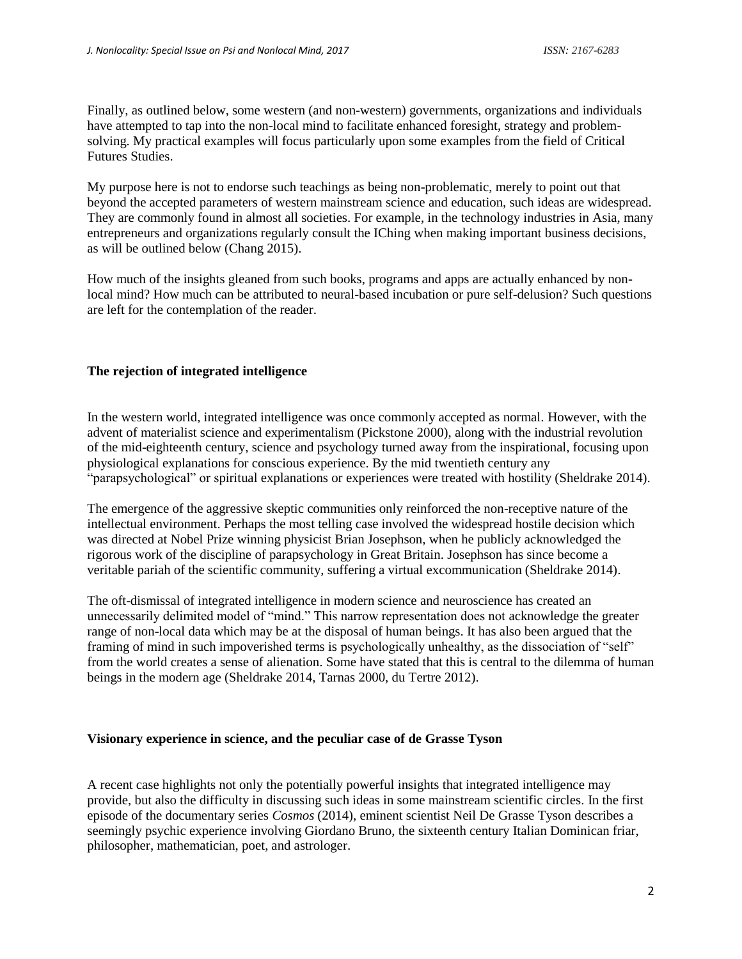Finally, as outlined below, some western (and non-western) governments, organizations and individuals have attempted to tap into the non-local mind to facilitate enhanced foresight, strategy and problemsolving. My practical examples will focus particularly upon some examples from the field of Critical Futures Studies.

My purpose here is not to endorse such teachings as being non-problematic, merely to point out that beyond the accepted parameters of western mainstream science and education, such ideas are widespread. They are commonly found in almost all societies. For example, in the technology industries in Asia, many entrepreneurs and organizations regularly consult the IChing when making important business decisions, as will be outlined below (Chang 2015).

How much of the insights gleaned from such books, programs and apps are actually enhanced by nonlocal mind? How much can be attributed to neural-based incubation or pure self-delusion? Such questions are left for the contemplation of the reader.

# **The rejection of integrated intelligence**

In the western world, integrated intelligence was once commonly accepted as normal. However, with the advent of materialist science and experimentalism (Pickstone 2000), along with the industrial revolution of the mid-eighteenth century, science and psychology turned away from the inspirational, focusing upon physiological explanations for conscious experience. By the mid twentieth century any "parapsychological" or spiritual explanations or experiences were treated with hostility (Sheldrake 2014).

The emergence of the aggressive skeptic communities only reinforced the non-receptive nature of the intellectual environment. Perhaps the most telling case involved the widespread hostile decision which was directed at Nobel Prize winning physicist Brian Josephson, when he publicly acknowledged the rigorous work of the discipline of parapsychology in Great Britain. Josephson has since become a veritable pariah of the scientific community, suffering a virtual excommunication (Sheldrake 2014).

The oft-dismissal of integrated intelligence in modern science and neuroscience has created an unnecessarily delimited model of "mind." This narrow representation does not acknowledge the greater range of non-local data which may be at the disposal of human beings. It has also been argued that the framing of mind in such impoverished terms is psychologically unhealthy, as the dissociation of "self" from the world creates a sense of alienation. Some have stated that this is central to the dilemma of human beings in the modern age (Sheldrake 2014, Tarnas 2000, du Tertre 2012).

## **Visionary experience in science, and the peculiar case of de Grasse Tyson**

A recent case highlights not only the potentially powerful insights that integrated intelligence may provide, but also the difficulty in discussing such ideas in some mainstream scientific circles. In the first episode of the documentary series *Cosmos* (2014), eminent scientist Neil De Grasse Tyson describes a seemingly psychic experience involving Giordano Bruno, the sixteenth century Italian Dominican friar, philosopher, mathematician, poet, and astrologer.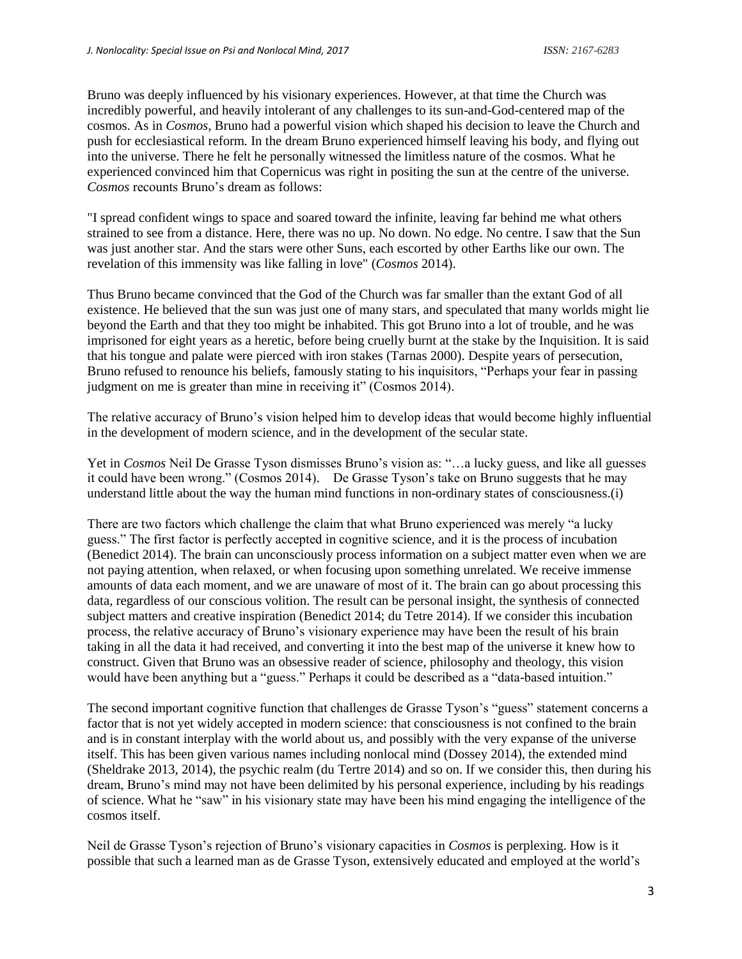Bruno was deeply influenced by his visionary experiences. However, at that time the Church was incredibly powerful, and heavily intolerant of any challenges to its sun-and-God-centered map of the cosmos. As in *Cosmos*, Bruno had a powerful vision which shaped his decision to leave the Church and push for ecclesiastical reform. In the dream Bruno experienced himself leaving his body, and flying out into the universe. There he felt he personally witnessed the limitless nature of the cosmos. What he experienced convinced him that Copernicus was right in positing the sun at the centre of the universe. *Cosmos* recounts Bruno's dream as follows:

"I spread confident wings to space and soared toward the infinite, leaving far behind me what others strained to see from a distance. Here, there was no up. No down. No edge. No centre. I saw that the Sun was just another star. And the stars were other Suns, each escorted by other Earths like our own. The revelation of this immensity was like falling in love" (*Cosmos* 2014).

Thus Bruno became convinced that the God of the Church was far smaller than the extant God of all existence. He believed that the sun was just one of many stars, and speculated that many worlds might lie beyond the Earth and that they too might be inhabited. This got Bruno into a lot of trouble, and he was imprisoned for eight years as a heretic, before being cruelly burnt at the stake by the Inquisition. It is said that his tongue and palate were pierced with iron stakes (Tarnas 2000). Despite years of persecution, Bruno refused to renounce his beliefs, famously stating to his inquisitors, "Perhaps your fear in passing judgment on me is greater than mine in receiving it" (Cosmos 2014).

The relative accuracy of Bruno's vision helped him to develop ideas that would become highly influential in the development of modern science, and in the development of the secular state.

Yet in *Cosmos* Neil De Grasse Tyson dismisses Bruno's vision as: "…a lucky guess, and like all guesses it could have been wrong." (Cosmos 2014). De Grasse Tyson's take on Bruno suggests that he may understand little about the way the human mind functions in non-ordinary states of consciousness.(i)

There are two factors which challenge the claim that what Bruno experienced was merely "a lucky guess." The first factor is perfectly accepted in cognitive science, and it is the process of incubation (Benedict 2014). The brain can unconsciously process information on a subject matter even when we are not paying attention, when relaxed, or when focusing upon something unrelated. We receive immense amounts of data each moment, and we are unaware of most of it. The brain can go about processing this data, regardless of our conscious volition. The result can be personal insight, the synthesis of connected subject matters and creative inspiration (Benedict 2014; du Tetre 2014). If we consider this incubation process, the relative accuracy of Bruno's visionary experience may have been the result of his brain taking in all the data it had received, and converting it into the best map of the universe it knew how to construct. Given that Bruno was an obsessive reader of science, philosophy and theology, this vision would have been anything but a "guess." Perhaps it could be described as a "data-based intuition."

The second important cognitive function that challenges de Grasse Tyson's "guess" statement concerns a factor that is not yet widely accepted in modern science: that consciousness is not confined to the brain and is in constant interplay with the world about us, and possibly with the very expanse of the universe itself. This has been given various names including nonlocal mind (Dossey 2014), the extended mind (Sheldrake 2013, 2014), the psychic realm (du Tertre 2014) and so on. If we consider this, then during his dream, Bruno's mind may not have been delimited by his personal experience, including by his readings of science. What he "saw" in his visionary state may have been his mind engaging the intelligence of the cosmos itself.

Neil de Grasse Tyson's rejection of Bruno's visionary capacities in *Cosmos* is perplexing. How is it possible that such a learned man as de Grasse Tyson, extensively educated and employed at the world's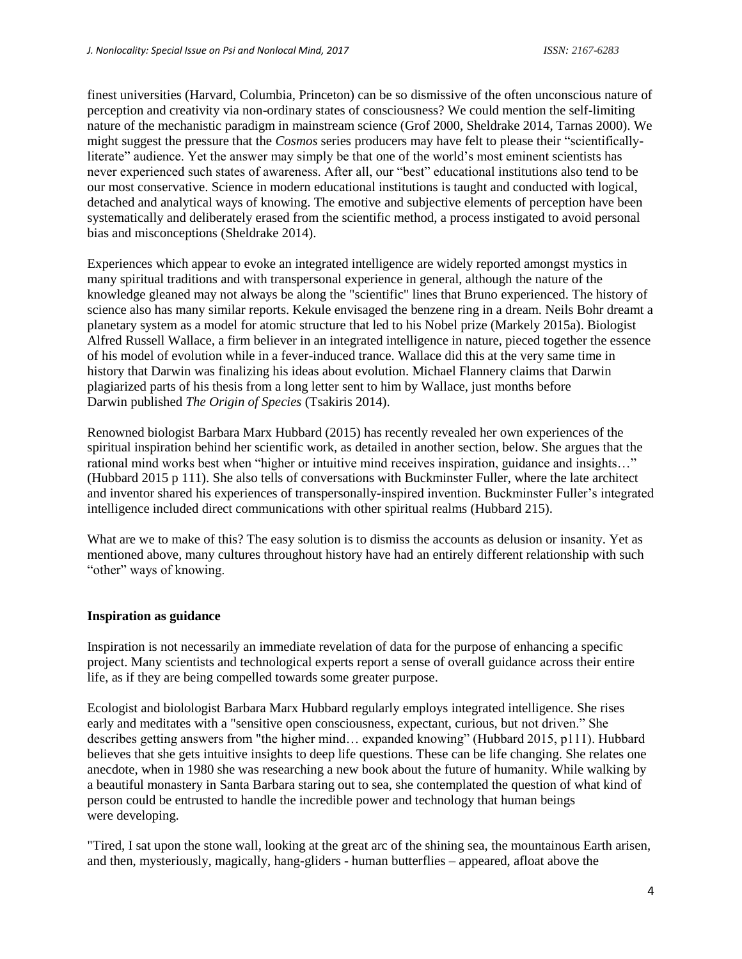finest universities (Harvard, Columbia, Princeton) can be so dismissive of the often unconscious nature of perception and creativity via non-ordinary states of consciousness? We could mention the self-limiting nature of the mechanistic paradigm in mainstream science (Grof 2000, Sheldrake 2014, Tarnas 2000). We might suggest the pressure that the *Cosmos* series producers may have felt to please their "scientificallyliterate" audience. Yet the answer may simply be that one of the world's most eminent scientists has never experienced such states of awareness. After all, our "best" educational institutions also tend to be our most conservative. Science in modern educational institutions is taught and conducted with logical, detached and analytical ways of knowing. The emotive and subjective elements of perception have been systematically and deliberately erased from the scientific method, a process instigated to avoid personal bias and misconceptions (Sheldrake 2014).

Experiences which appear to evoke an integrated intelligence are widely reported amongst mystics in many spiritual traditions and with transpersonal experience in general, although the nature of the knowledge gleaned may not always be along the "scientific" lines that Bruno experienced. The history of science also has many similar reports. Kekule envisaged the benzene ring in a dream. Neils Bohr dreamt a planetary system as a model for atomic structure that led to his Nobel prize (Markely 2015a). Biologist Alfred Russell Wallace, a firm believer in an integrated intelligence in nature, pieced together the essence of his model of evolution while in a fever-induced trance. Wallace did this at the very same time in history that Darwin was finalizing his ideas about evolution. Michael Flannery claims that Darwin plagiarized parts of his thesis from a long letter sent to him by Wallace, just months before Darwin published *The Origin of Species* (Tsakiris 2014).

Renowned biologist Barbara Marx Hubbard (2015) has recently revealed her own experiences of the spiritual inspiration behind her scientific work, as detailed in another section, below. She argues that the rational mind works best when "higher or intuitive mind receives inspiration, guidance and insights…" (Hubbard 2015 p 111). She also tells of conversations with Buckminster Fuller, where the late architect and inventor shared his experiences of transpersonally-inspired invention. Buckminster Fuller's integrated intelligence included direct communications with other spiritual realms (Hubbard 215).

What are we to make of this? The easy solution is to dismiss the accounts as delusion or insanity. Yet as mentioned above, many cultures throughout history have had an entirely different relationship with such "other" ways of knowing.

## **Inspiration as guidance**

Inspiration is not necessarily an immediate revelation of data for the purpose of enhancing a specific project. Many scientists and technological experts report a sense of overall guidance across their entire life, as if they are being compelled towards some greater purpose.

Ecologist and biolologist Barbara Marx Hubbard regularly employs integrated intelligence. She rises early and meditates with a "sensitive open consciousness, expectant, curious, but not driven." She describes getting answers from "the higher mind… expanded knowing" (Hubbard 2015, p111). Hubbard believes that she gets intuitive insights to deep life questions. These can be life changing. She relates one anecdote, when in 1980 she was researching a new book about the future of humanity. While walking by a beautiful monastery in Santa Barbara staring out to sea, she contemplated the question of what kind of person could be entrusted to handle the incredible power and technology that human beings were developing.

"Tired, I sat upon the stone wall, looking at the great arc of the shining sea, the mountainous Earth arisen, and then, mysteriously, magically, hang-gliders - human butterflies – appeared, afloat above the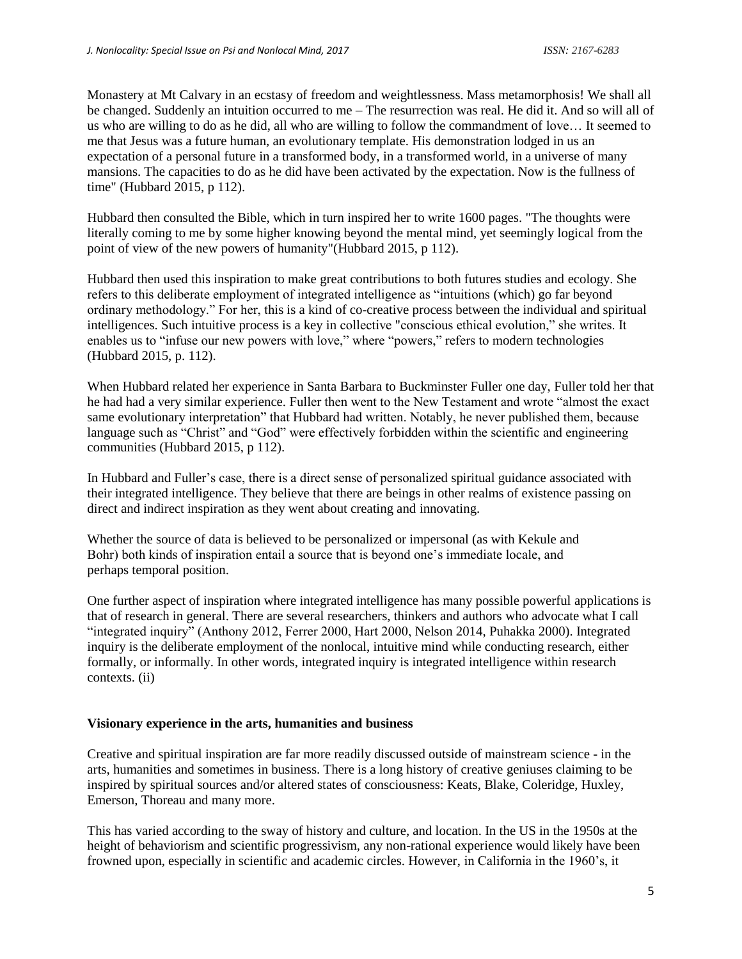Monastery at Mt Calvary in an ecstasy of freedom and weightlessness. Mass metamorphosis! We shall all be changed. Suddenly an intuition occurred to me – The resurrection was real. He did it. And so will all of us who are willing to do as he did, all who are willing to follow the commandment of love… It seemed to me that Jesus was a future human, an evolutionary template. His demonstration lodged in us an expectation of a personal future in a transformed body, in a transformed world, in a universe of many mansions. The capacities to do as he did have been activated by the expectation. Now is the fullness of time" (Hubbard 2015, p 112).

Hubbard then consulted the Bible, which in turn inspired her to write 1600 pages. "The thoughts were literally coming to me by some higher knowing beyond the mental mind, yet seemingly logical from the point of view of the new powers of humanity"(Hubbard 2015, p 112).

Hubbard then used this inspiration to make great contributions to both futures studies and ecology. She refers to this deliberate employment of integrated intelligence as "intuitions (which) go far beyond ordinary methodology." For her, this is a kind of co-creative process between the individual and spiritual intelligences. Such intuitive process is a key in collective "conscious ethical evolution," she writes. It enables us to "infuse our new powers with love," where "powers," refers to modern technologies (Hubbard 2015, p. 112).

When Hubbard related her experience in Santa Barbara to Buckminster Fuller one day, Fuller told her that he had had a very similar experience. Fuller then went to the New Testament and wrote "almost the exact same evolutionary interpretation" that Hubbard had written. Notably, he never published them, because language such as "Christ" and "God" were effectively forbidden within the scientific and engineering communities (Hubbard 2015, p 112).

In Hubbard and Fuller's case, there is a direct sense of personalized spiritual guidance associated with their integrated intelligence. They believe that there are beings in other realms of existence passing on direct and indirect inspiration as they went about creating and innovating.

Whether the source of data is believed to be personalized or impersonal (as with Kekule and Bohr) both kinds of inspiration entail a source that is beyond one's immediate locale, and perhaps temporal position.

One further aspect of inspiration where integrated intelligence has many possible powerful applications is that of research in general. There are several researchers, thinkers and authors who advocate what I call "integrated inquiry" (Anthony 2012, Ferrer 2000, Hart 2000, Nelson 2014, Puhakka 2000). Integrated inquiry is the deliberate employment of the nonlocal, intuitive mind while conducting research, either formally, or informally. In other words, integrated inquiry is integrated intelligence within research contexts. (ii)

## **Visionary experience in the arts, humanities and business**

Creative and spiritual inspiration are far more readily discussed outside of mainstream science - in the arts, humanities and sometimes in business. There is a long history of creative geniuses claiming to be inspired by spiritual sources and/or altered states of consciousness: Keats, Blake, Coleridge, Huxley, Emerson, Thoreau and many more.

This has varied according to the sway of history and culture, and location. In the US in the 1950s at the height of behaviorism and scientific progressivism, any non-rational experience would likely have been frowned upon, especially in scientific and academic circles. However, in California in the 1960's, it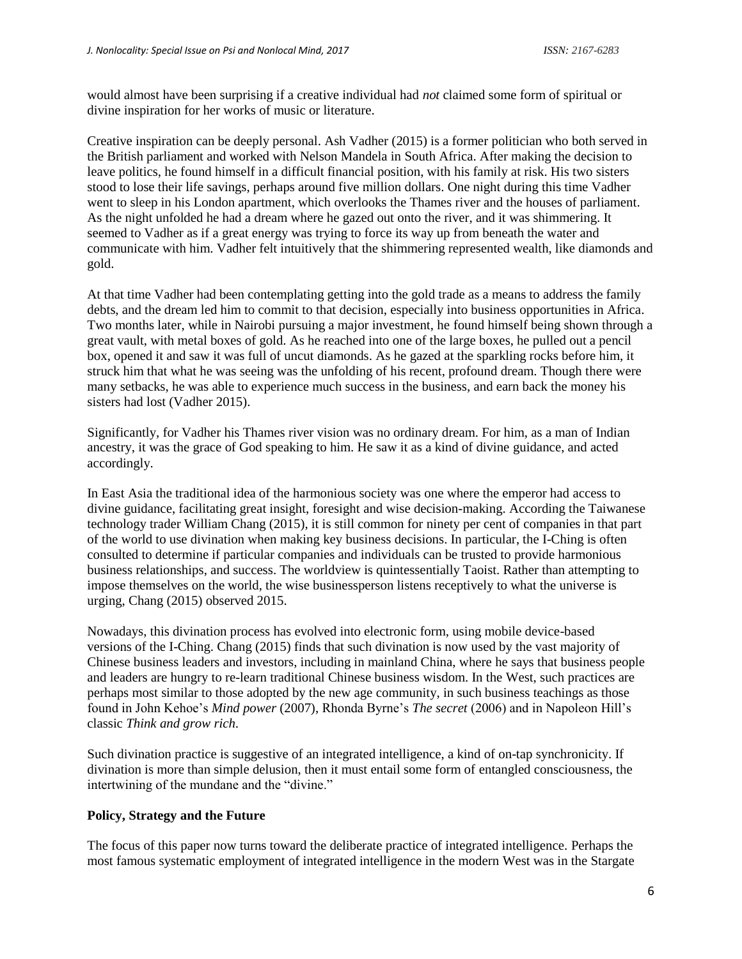would almost have been surprising if a creative individual had *not* claimed some form of spiritual or divine inspiration for her works of music or literature.

Creative inspiration can be deeply personal. Ash Vadher (2015) is a former politician who both served in the British parliament and worked with Nelson Mandela in South Africa. After making the decision to leave politics, he found himself in a difficult financial position, with his family at risk. His two sisters stood to lose their life savings, perhaps around five million dollars. One night during this time Vadher went to sleep in his London apartment, which overlooks the Thames river and the houses of parliament. As the night unfolded he had a dream where he gazed out onto the river, and it was shimmering. It seemed to Vadher as if a great energy was trying to force its way up from beneath the water and communicate with him. Vadher felt intuitively that the shimmering represented wealth, like diamonds and gold.

At that time Vadher had been contemplating getting into the gold trade as a means to address the family debts, and the dream led him to commit to that decision, especially into business opportunities in Africa. Two months later, while in Nairobi pursuing a major investment, he found himself being shown through a great vault, with metal boxes of gold. As he reached into one of the large boxes, he pulled out a pencil box, opened it and saw it was full of uncut diamonds. As he gazed at the sparkling rocks before him, it struck him that what he was seeing was the unfolding of his recent, profound dream. Though there were many setbacks, he was able to experience much success in the business, and earn back the money his sisters had lost (Vadher 2015).

Significantly, for Vadher his Thames river vision was no ordinary dream. For him, as a man of Indian ancestry, it was the grace of God speaking to him. He saw it as a kind of divine guidance, and acted accordingly.

In East Asia the traditional idea of the harmonious society was one where the emperor had access to divine guidance, facilitating great insight, foresight and wise decision-making. According the Taiwanese technology trader William Chang (2015), it is still common for ninety per cent of companies in that part of the world to use divination when making key business decisions. In particular, the I-Ching is often consulted to determine if particular companies and individuals can be trusted to provide harmonious business relationships, and success. The worldview is quintessentially Taoist. Rather than attempting to impose themselves on the world, the wise businessperson listens receptively to what the universe is urging, Chang (2015) observed 2015.

Nowadays, this divination process has evolved into electronic form, using mobile device-based versions of the I-Ching. Chang (2015) finds that such divination is now used by the vast majority of Chinese business leaders and investors, including in mainland China, where he says that business people and leaders are hungry to re-learn traditional Chinese business wisdom. In the West, such practices are perhaps most similar to those adopted by the new age community, in such business teachings as those found in John Kehoe's *Mind power* (2007), Rhonda Byrne's *The secret* (2006) and in Napoleon Hill's classic *Think and grow rich*.

Such divination practice is suggestive of an integrated intelligence, a kind of on-tap synchronicity. If divination is more than simple delusion, then it must entail some form of entangled consciousness, the intertwining of the mundane and the "divine."

## **Policy, Strategy and the Future**

The focus of this paper now turns toward the deliberate practice of integrated intelligence. Perhaps the most famous systematic employment of integrated intelligence in the modern West was in the Stargate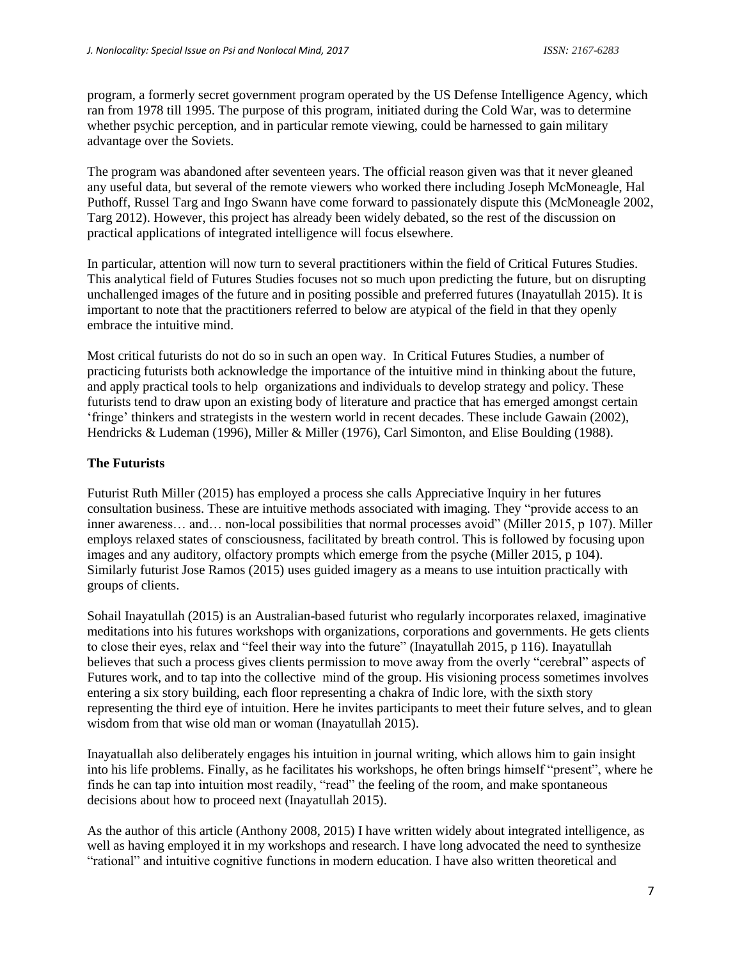program, a formerly secret government program operated by the US Defense Intelligence Agency, which ran from 1978 till 1995. The purpose of this program, initiated during the Cold War, was to determine whether psychic perception, and in particular remote viewing, could be harnessed to gain military advantage over the Soviets.

The program was abandoned after seventeen years. The official reason given was that it never gleaned any useful data, but several of the remote viewers who worked there including Joseph McMoneagle, Hal Puthoff, Russel Targ and Ingo Swann have come forward to passionately dispute this (McMoneagle 2002, Targ 2012). However, this project has already been widely debated, so the rest of the discussion on practical applications of integrated intelligence will focus elsewhere.

In particular, attention will now turn to several practitioners within the field of Critical Futures Studies. This analytical field of Futures Studies focuses not so much upon predicting the future, but on disrupting unchallenged images of the future and in positing possible and preferred futures (Inayatullah 2015). It is important to note that the practitioners referred to below are atypical of the field in that they openly embrace the intuitive mind.

Most critical futurists do not do so in such an open way. In Critical Futures Studies, a number of practicing futurists both acknowledge the importance of the intuitive mind in thinking about the future, and apply practical tools to help organizations and individuals to develop strategy and policy. These futurists tend to draw upon an existing body of literature and practice that has emerged amongst certain 'fringe' thinkers and strategists in the western world in recent decades. These include Gawain (2002), Hendricks & Ludeman (1996), Miller & Miller (1976), Carl Simonton, and Elise Boulding (1988).

# **The Futurists**

Futurist Ruth Miller (2015) has employed a process she calls Appreciative Inquiry in her futures consultation business. These are intuitive methods associated with imaging. They "provide access to an inner awareness… and… non-local possibilities that normal processes avoid" (Miller 2015, p 107). Miller employs relaxed states of consciousness, facilitated by breath control. This is followed by focusing upon images and any auditory, olfactory prompts which emerge from the psyche (Miller 2015, p 104). Similarly futurist Jose Ramos (2015) uses guided imagery as a means to use intuition practically with groups of clients.

Sohail Inayatullah (2015) is an Australian-based futurist who regularly incorporates relaxed, imaginative meditations into his futures workshops with organizations, corporations and governments. He gets clients to close their eyes, relax and "feel their way into the future" (Inayatullah 2015, p 116). Inayatullah believes that such a process gives clients permission to move away from the overly "cerebral" aspects of Futures work, and to tap into the collective mind of the group. His visioning process sometimes involves entering a six story building, each floor representing a chakra of Indic lore, with the sixth story representing the third eye of intuition. Here he invites participants to meet their future selves, and to glean wisdom from that wise old man or woman (Inayatullah 2015).

Inayatuallah also deliberately engages his intuition in journal writing, which allows him to gain insight into his life problems. Finally, as he facilitates his workshops, he often brings himself "present", where he finds he can tap into intuition most readily, "read" the feeling of the room, and make spontaneous decisions about how to proceed next (Inayatullah 2015).

As the author of this article (Anthony 2008, 2015) I have written widely about integrated intelligence, as well as having employed it in my workshops and research. I have long advocated the need to synthesize "rational" and intuitive cognitive functions in modern education. I have also written theoretical and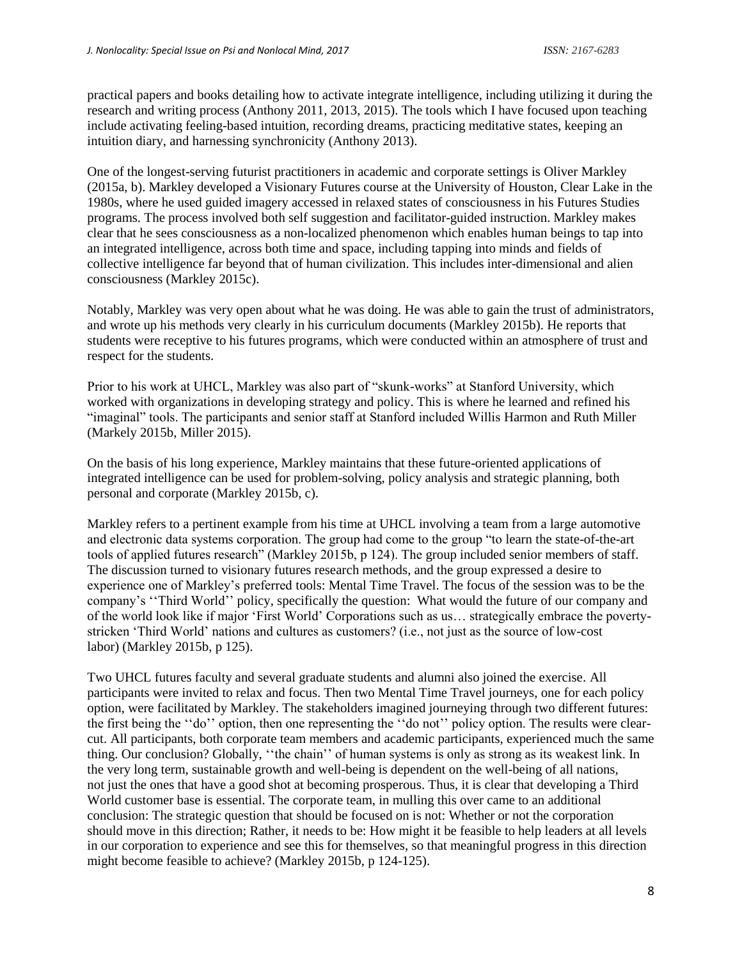practical papers and books detailing how to activate integrate intelligence, including utilizing it during the research and writing process (Anthony 2011, 2013, 2015). The tools which I have focused upon teaching include activating feeling-based intuition, recording dreams, practicing meditative states, keeping an intuition diary, and harnessing synchronicity (Anthony 2013).

One of the longest-serving futurist practitioners in academic and corporate settings is Oliver Markley (2015a, b). Markley developed a Visionary Futures course at the University of Houston, Clear Lake in the 1980s, where he used guided imagery accessed in relaxed states of consciousness in his Futures Studies programs. The process involved both self suggestion and facilitator-guided instruction. Markley makes clear that he sees consciousness as a non-localized phenomenon which enables human beings to tap into an integrated intelligence, across both time and space, including tapping into minds and fields of collective intelligence far beyond that of human civilization. This includes inter-dimensional and alien consciousness (Markley 2015c).

Notably, Markley was very open about what he was doing. He was able to gain the trust of administrators, and wrote up his methods very clearly in his curriculum documents (Markley 2015b). He reports that students were receptive to his futures programs, which were conducted within an atmosphere of trust and respect for the students.

Prior to his work at UHCL, Markley was also part of "skunk-works" at Stanford University, which worked with organizations in developing strategy and policy. This is where he learned and refined his "imaginal" tools. The participants and senior staff at Stanford included Willis Harmon and Ruth Miller (Markely 2015b, Miller 2015).

On the basis of his long experience, Markley maintains that these future-oriented applications of integrated intelligence can be used for problem-solving, policy analysis and strategic planning, both personal and corporate (Markley 2015b, c).

Markley refers to a pertinent example from his time at UHCL involving a team from a large automotive and electronic data systems corporation. The group had come to the group "to learn the state-of-the-art tools of applied futures research" (Markley 2015b, p 124). The group included senior members of staff. The discussion turned to visionary futures research methods, and the group expressed a desire to experience one of Markley's preferred tools: Mental Time Travel. The focus of the session was to be the company's ''Third World'' policy, specifically the question: What would the future of our company and of the world look like if major 'First World' Corporations such as us… strategically embrace the povertystricken 'Third World' nations and cultures as customers? (i.e., not just as the source of low-cost labor) (Markley 2015b, p 125).

Two UHCL futures faculty and several graduate students and alumni also joined the exercise. All participants were invited to relax and focus. Then two Mental Time Travel journeys, one for each policy option, were facilitated by Markley. The stakeholders imagined journeying through two different futures: the first being the ''do'' option, then one representing the ''do not'' policy option. The results were clearcut. All participants, both corporate team members and academic participants, experienced much the same thing. Our conclusion? Globally, ''the chain'' of human systems is only as strong as its weakest link. In the very long term, sustainable growth and well-being is dependent on the well-being of all nations, not just the ones that have a good shot at becoming prosperous. Thus, it is clear that developing a Third World customer base is essential. The corporate team, in mulling this over came to an additional conclusion: The strategic question that should be focused on is not: Whether or not the corporation should move in this direction; Rather, it needs to be: How might it be feasible to help leaders at all levels in our corporation to experience and see this for themselves, so that meaningful progress in this direction might become feasible to achieve? (Markley 2015b, p 124-125).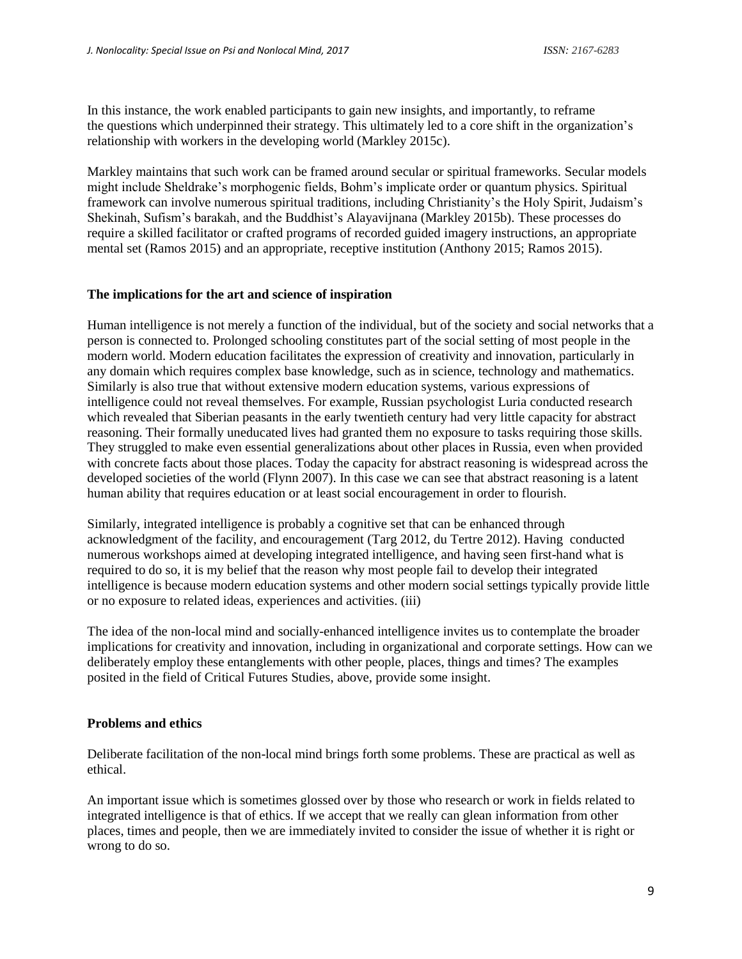In this instance, the work enabled participants to gain new insights, and importantly, to reframe the questions which underpinned their strategy. This ultimately led to a core shift in the organization's relationship with workers in the developing world (Markley 2015c).

Markley maintains that such work can be framed around secular or spiritual frameworks. Secular models might include Sheldrake's morphogenic fields, Bohm's implicate order or quantum physics. Spiritual framework can involve numerous spiritual traditions, including Christianity's the Holy Spirit, Judaism's Shekinah, Sufism's barakah, and the Buddhist's Alayavijnana (Markley 2015b). These processes do require a skilled facilitator or crafted programs of recorded guided imagery instructions, an appropriate mental set (Ramos 2015) and an appropriate, receptive institution (Anthony 2015; Ramos 2015).

## **The implications for the art and science of inspiration**

Human intelligence is not merely a function of the individual, but of the society and social networks that a person is connected to. Prolonged schooling constitutes part of the social setting of most people in the modern world. Modern education facilitates the expression of creativity and innovation, particularly in any domain which requires complex base knowledge, such as in science, technology and mathematics. Similarly is also true that without extensive modern education systems, various expressions of intelligence could not reveal themselves. For example, Russian psychologist Luria conducted research which revealed that Siberian peasants in the early twentieth century had very little capacity for abstract reasoning. Their formally uneducated lives had granted them no exposure to tasks requiring those skills. They struggled to make even essential generalizations about other places in Russia, even when provided with concrete facts about those places. Today the capacity for abstract reasoning is widespread across the developed societies of the world (Flynn 2007). In this case we can see that abstract reasoning is a latent human ability that requires education or at least social encouragement in order to flourish.

Similarly, integrated intelligence is probably a cognitive set that can be enhanced through acknowledgment of the facility, and encouragement (Targ 2012, du Tertre 2012). Having conducted numerous workshops aimed at developing integrated intelligence, and having seen first-hand what is required to do so, it is my belief that the reason why most people fail to develop their integrated intelligence is because modern education systems and other modern social settings typically provide little or no exposure to related ideas, experiences and activities. (iii)

The idea of the non-local mind and socially-enhanced intelligence invites us to contemplate the broader implications for creativity and innovation, including in organizational and corporate settings. How can we deliberately employ these entanglements with other people, places, things and times? The examples posited in the field of Critical Futures Studies, above, provide some insight.

## **Problems and ethics**

Deliberate facilitation of the non-local mind brings forth some problems. These are practical as well as ethical.

An important issue which is sometimes glossed over by those who research or work in fields related to integrated intelligence is that of ethics. If we accept that we really can glean information from other places, times and people, then we are immediately invited to consider the issue of whether it is right or wrong to do so.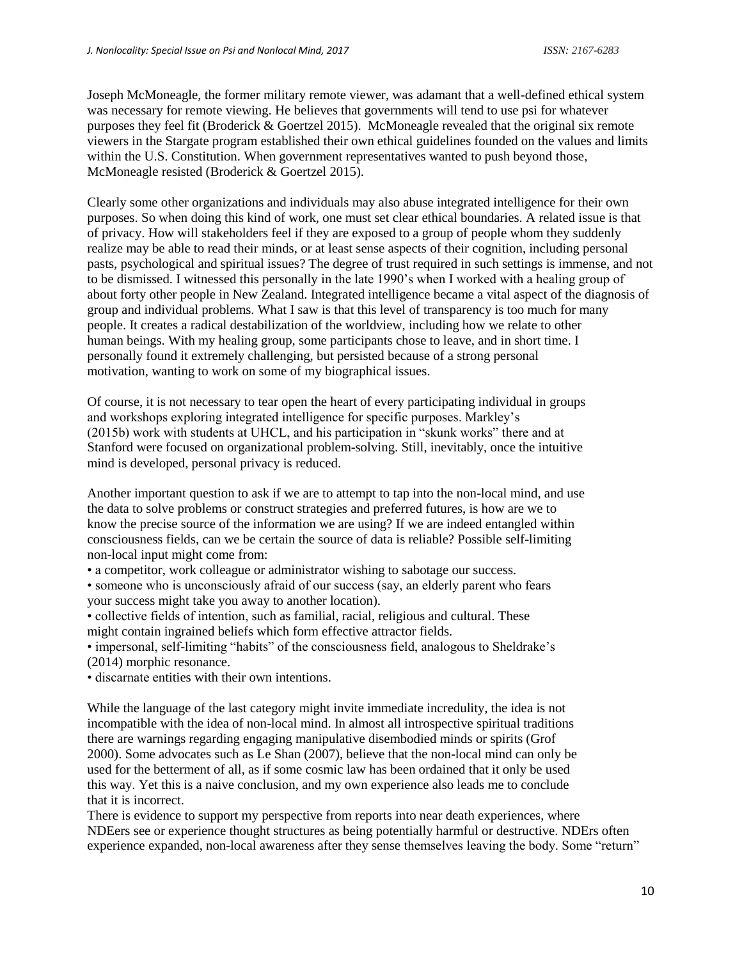Joseph McMoneagle, the former military remote viewer, was adamant that a well-defined ethical system was necessary for remote viewing. He believes that governments will tend to use psi for whatever purposes they feel fit (Broderick & Goertzel 2015). McMoneagle revealed that the original six remote viewers in the Stargate program established their own ethical guidelines founded on the values and limits within the U.S. Constitution. When government representatives wanted to push beyond those, McMoneagle resisted (Broderick & Goertzel 2015).

Clearly some other organizations and individuals may also abuse integrated intelligence for their own purposes. So when doing this kind of work, one must set clear ethical boundaries. A related issue is that of privacy. How will stakeholders feel if they are exposed to a group of people whom they suddenly realize may be able to read their minds, or at least sense aspects of their cognition, including personal pasts, psychological and spiritual issues? The degree of trust required in such settings is immense, and not to be dismissed. I witnessed this personally in the late 1990's when I worked with a healing group of about forty other people in New Zealand. Integrated intelligence became a vital aspect of the diagnosis of group and individual problems. What I saw is that this level of transparency is too much for many people. It creates a radical destabilization of the worldview, including how we relate to other human beings. With my healing group, some participants chose to leave, and in short time. I personally found it extremely challenging, but persisted because of a strong personal motivation, wanting to work on some of my biographical issues.

Of course, it is not necessary to tear open the heart of every participating individual in groups and workshops exploring integrated intelligence for specific purposes. Markley's (2015b) work with students at UHCL, and his participation in "skunk works" there and at Stanford were focused on organizational problem-solving. Still, inevitably, once the intuitive mind is developed, personal privacy is reduced.

Another important question to ask if we are to attempt to tap into the non-local mind, and use the data to solve problems or construct strategies and preferred futures, is how are we to know the precise source of the information we are using? If we are indeed entangled within consciousness fields, can we be certain the source of data is reliable? Possible self-limiting non-local input might come from:

- a competitor, work colleague or administrator wishing to sabotage our success.
- someone who is unconsciously afraid of our success (say, an elderly parent who fears your success might take you away to another location).
- collective fields of intention, such as familial, racial, religious and cultural. These might contain ingrained beliefs which form effective attractor fields.
- impersonal, self-limiting "habits" of the consciousness field, analogous to Sheldrake's (2014) morphic resonance.
- discarnate entities with their own intentions.

While the language of the last category might invite immediate incredulity, the idea is not incompatible with the idea of non-local mind. In almost all introspective spiritual traditions there are warnings regarding engaging manipulative disembodied minds or spirits (Grof 2000). Some advocates such as Le Shan (2007), believe that the non-local mind can only be used for the betterment of all, as if some cosmic law has been ordained that it only be used this way. Yet this is a naive conclusion, and my own experience also leads me to conclude that it is incorrect.

There is evidence to support my perspective from reports into near death experiences, where NDEers see or experience thought structures as being potentially harmful or destructive. NDErs often experience expanded, non-local awareness after they sense themselves leaving the body. Some "return"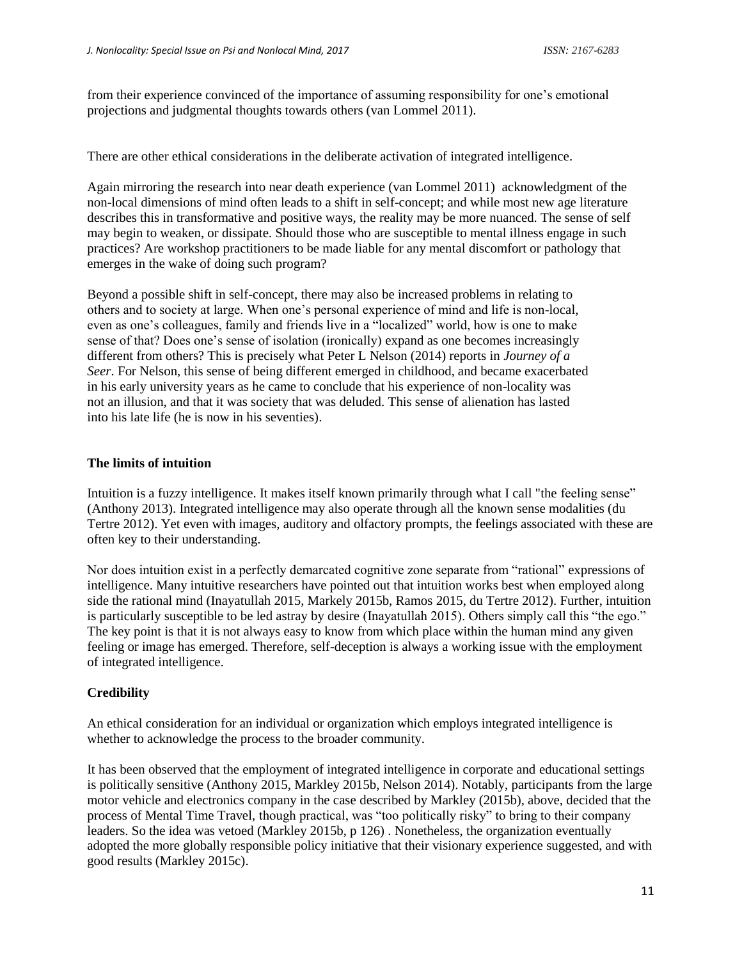from their experience convinced of the importance of assuming responsibility for one's emotional projections and judgmental thoughts towards others (van Lommel 2011).

There are other ethical considerations in the deliberate activation of integrated intelligence.

Again mirroring the research into near death experience (van Lommel 2011) acknowledgment of the non-local dimensions of mind often leads to a shift in self-concept; and while most new age literature describes this in transformative and positive ways, the reality may be more nuanced. The sense of self may begin to weaken, or dissipate. Should those who are susceptible to mental illness engage in such practices? Are workshop practitioners to be made liable for any mental discomfort or pathology that emerges in the wake of doing such program?

Beyond a possible shift in self-concept, there may also be increased problems in relating to others and to society at large. When one's personal experience of mind and life is non-local, even as one's colleagues, family and friends live in a "localized" world, how is one to make sense of that? Does one's sense of isolation (ironically) expand as one becomes increasingly different from others? This is precisely what Peter L Nelson (2014) reports in *Journey of a Seer*. For Nelson, this sense of being different emerged in childhood, and became exacerbated in his early university years as he came to conclude that his experience of non-locality was not an illusion, and that it was society that was deluded. This sense of alienation has lasted into his late life (he is now in his seventies).

## **The limits of intuition**

Intuition is a fuzzy intelligence. It makes itself known primarily through what I call "the feeling sense" (Anthony 2013). Integrated intelligence may also operate through all the known sense modalities (du Tertre 2012). Yet even with images, auditory and olfactory prompts, the feelings associated with these are often key to their understanding.

Nor does intuition exist in a perfectly demarcated cognitive zone separate from "rational" expressions of intelligence. Many intuitive researchers have pointed out that intuition works best when employed along side the rational mind (Inayatullah 2015, Markely 2015b, Ramos 2015, du Tertre 2012). Further, intuition is particularly susceptible to be led astray by desire (Inayatullah 2015). Others simply call this "the ego." The key point is that it is not always easy to know from which place within the human mind any given feeling or image has emerged. Therefore, self-deception is always a working issue with the employment of integrated intelligence.

# **Credibility**

An ethical consideration for an individual or organization which employs integrated intelligence is whether to acknowledge the process to the broader community.

It has been observed that the employment of integrated intelligence in corporate and educational settings is politically sensitive (Anthony 2015, Markley 2015b, Nelson 2014). Notably, participants from the large motor vehicle and electronics company in the case described by Markley (2015b), above, decided that the process of Mental Time Travel, though practical, was "too politically risky" to bring to their company leaders. So the idea was vetoed (Markley 2015b, p 126) . Nonetheless, the organization eventually adopted the more globally responsible policy initiative that their visionary experience suggested, and with good results (Markley 2015c).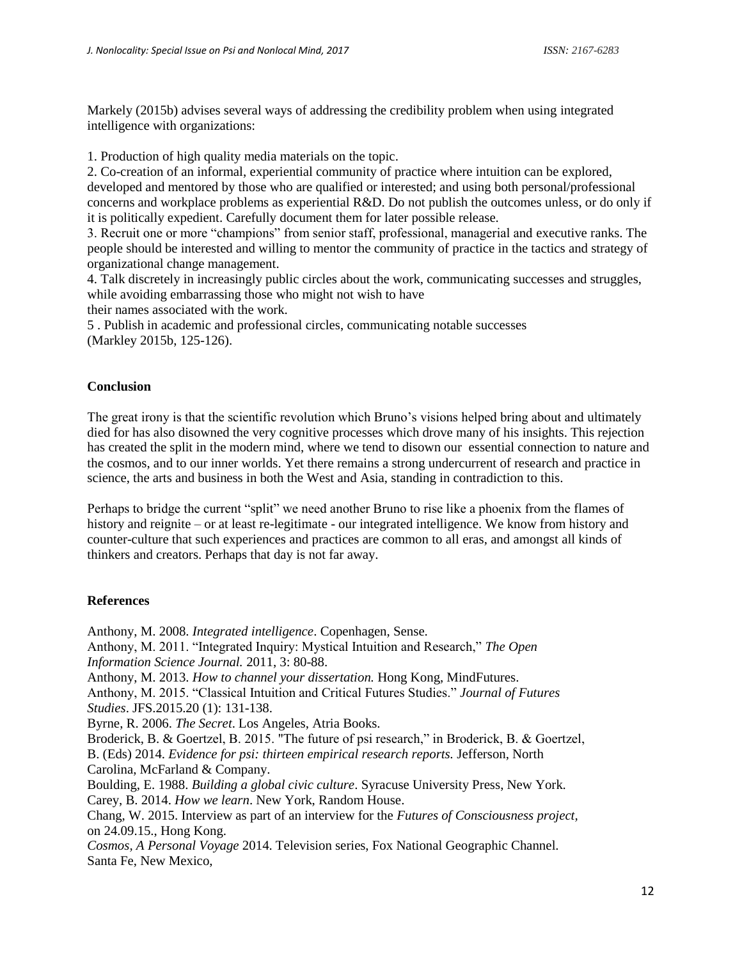Markely (2015b) advises several ways of addressing the credibility problem when using integrated intelligence with organizations:

1. Production of high quality media materials on the topic.

2. Co-creation of an informal, experiential community of practice where intuition can be explored, developed and mentored by those who are qualified or interested; and using both personal/professional concerns and workplace problems as experiential R&D. Do not publish the outcomes unless, or do only if it is politically expedient. Carefully document them for later possible release.

3. Recruit one or more "champions" from senior staff, professional, managerial and executive ranks. The people should be interested and willing to mentor the community of practice in the tactics and strategy of organizational change management.

4. Talk discretely in increasingly public circles about the work, communicating successes and struggles, while avoiding embarrassing those who might not wish to have

their names associated with the work.

5 . Publish in academic and professional circles, communicating notable successes (Markley 2015b, 125-126).

## **Conclusion**

The great irony is that the scientific revolution which Bruno's visions helped bring about and ultimately died for has also disowned the very cognitive processes which drove many of his insights. This rejection has created the split in the modern mind, where we tend to disown our essential connection to nature and the cosmos, and to our inner worlds. Yet there remains a strong undercurrent of research and practice in science, the arts and business in both the West and Asia, standing in contradiction to this.

Perhaps to bridge the current "split" we need another Bruno to rise like a phoenix from the flames of history and reignite – or at least re-legitimate - our integrated intelligence. We know from history and counter-culture that such experiences and practices are common to all eras, and amongst all kinds of thinkers and creators. Perhaps that day is not far away.

## **References**

Anthony, M. 2008. *Integrated intelligence*. Copenhagen, Sense. Anthony, M. 2011. "Integrated Inquiry: Mystical Intuition and Research," *The Open Information Science Journal.* 2011, 3: 80-88. Anthony, M. 2013. *How to channel your dissertation.* Hong Kong, MindFutures. Anthony, M. 2015. "Classical Intuition and Critical Futures Studies." *Journal of Futures Studies*. JFS.2015.20 (1): 131-138. Byrne, R. 2006. *The Secret*. Los Angeles, Atria Books. Broderick, B. & Goertzel, B. 2015. "The future of psi research," in Broderick, B. & Goertzel, B. (Eds) 2014. *Evidence for psi: thirteen empirical research reports.* Jefferson, North Carolina, McFarland & Company. Boulding, E. 1988. *Building a global civic culture*. Syracuse University Press, New York. Carey, B. 2014. *How we learn*. New York, Random House. Chang, W. 2015. Interview as part of an interview for the *Futures of Consciousness project,* on 24.09.15., Hong Kong. *Cosmos, A Personal Voyage* 2014. Television series, Fox National Geographic Channel. Santa Fe, New Mexico,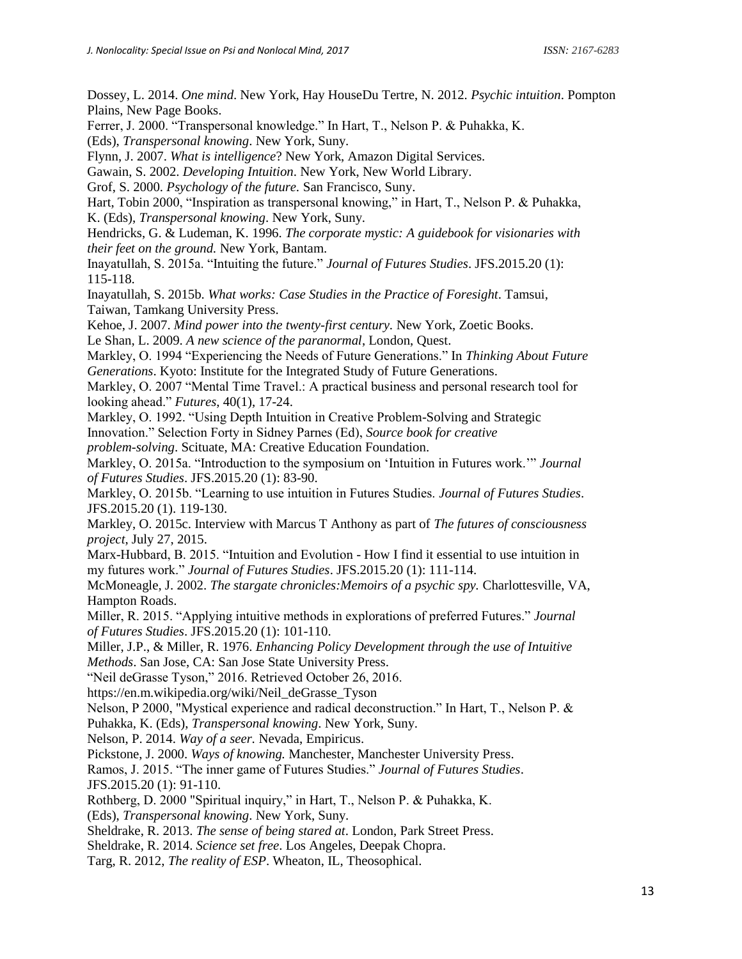Dossey, L. 2014. *One mind*. New York, Hay HouseDu Tertre, N. 2012. *Psychic intuition*. Pompton Plains, New Page Books. Ferrer, J. 2000. "Transpersonal knowledge." In Hart, T., Nelson P. & Puhakka, K. (Eds), *Transpersonal knowing*. New York, Suny. Flynn, J. 2007. *What is intelligence*? New York, Amazon Digital Services. Gawain, S. 2002. *Developing Intuition*. New York, New World Library. Grof, S. 2000. *Psychology of the future.* San Francisco, Suny. Hart, Tobin 2000, "Inspiration as transpersonal knowing," in Hart, T., Nelson P. & Puhakka, K. (Eds), *Transpersonal knowing*. New York, Suny. Hendricks, G. & Ludeman, K. 1996. *The corporate mystic: A guidebook for visionaries with their feet on the ground.* New York, Bantam. Inayatullah, S. 2015a. "Intuiting the future." *Journal of Futures Studies*. JFS.2015.20 (1): 115-118. Inayatullah, S. 2015b. *What works: Case Studies in the Practice of Foresight*. Tamsui, Taiwan, Tamkang University Press. Kehoe, J. 2007. *Mind power into the twenty-first century.* New York, Zoetic Books. Le Shan, L. 2009. *A new science of the paranormal*, London, Quest. Markley, O. 1994 "Experiencing the Needs of Future Generations." In *Thinking About Future Generations*. Kyoto: Institute for the Integrated Study of Future Generations. Markley, O. 2007 "Mental Time Travel.: A practical business and personal research tool for looking ahead." *Futures*, 40(1), 17-24. Markley, O. 1992. "Using Depth Intuition in Creative Problem-Solving and Strategic Innovation." Selection Forty in Sidney Parnes (Ed), *Source book for creative problem-solving*. Scituate, MA: Creative Education Foundation. Markley, O. 2015a. "Introduction to the symposium on 'Intuition in Futures work.'" *Journal of Futures Studies*. JFS.2015.20 (1): 83-90. Markley, O. 2015b. "Learning to use intuition in Futures Studies. *Journal of Futures Studies*. JFS.2015.20 (1). 119-130. Markley, O. 2015c. Interview with Marcus T Anthony as part of *The futures of consciousness project*, July 27, 2015. Marx-Hubbard, B. 2015. "Intuition and Evolution - How I find it essential to use intuition in my futures work." *Journal of Futures Studies*. JFS.2015.20 (1): 111-114. McMoneagle, J. 2002. *The stargate chronicles:Memoirs of a psychic spy.* Charlottesville, VA, Hampton Roads. Miller, R. 2015. "Applying intuitive methods in explorations of preferred Futures." *Journal of Futures Studies*. JFS.2015.20 (1): 101-110. Miller, J.P., & Miller, R. 1976. *Enhancing Policy Development through the use of Intuitive Methods*. San Jose, CA: San Jose State University Press. "Neil deGrasse Tyson," 2016. Retrieved October 26, 2016. https://en.m.wikipedia.org/wiki/Neil\_deGrasse\_Tyson Nelson, P 2000, "Mystical experience and radical deconstruction." In Hart, T., Nelson P. & Puhakka, K. (Eds), *Transpersonal knowing*. New York, Suny. Nelson, P. 2014. *Way of a seer.* Nevada, Empiricus. Pickstone, J. 2000. *Ways of knowing.* Manchester, Manchester University Press. Ramos, J. 2015. "The inner game of Futures Studies." *Journal of Futures Studies*. JFS.2015.20 (1): 91-110. Rothberg, D. 2000 "Spiritual inquiry," in Hart, T., Nelson P. & Puhakka, K. (Eds), *Transpersonal knowing*. New York, Suny. Sheldrake, R. 2013. *The sense of being stared at*. London, Park Street Press. Sheldrake, R. 2014. *Science set free*. Los Angeles, Deepak Chopra. Targ, R. 2012, *The reality of ESP*. Wheaton, IL, Theosophical.